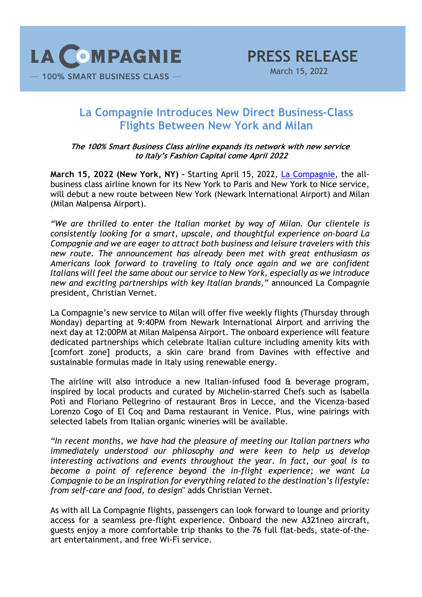

## **La Compagnie Introduces New Direct Business-Class Flights Between New York and Milan**

**The 100% Smart Business Class airline expands its network with new service to Italy's Fashion Capital come April 2022**

**March 15, 2022 (New York, NY) –** Starting April 15, 2022, La Compagnie, the allbusiness class airline known for its New York to Paris and New York to Nice service, will debut a new route between New York (Newark International Airport) and Milan (Milan Malpensa Airport).

*"We are thrilled to enter the Italian market by way of Milan. Our clientele is consistently looking for a smart, upscale, and thoughtful experience on-board La Compagnie and we are eager to attract both business and leisure travelers with this new route. The announcement has already been met with great enthusiasm as Americans look forward to traveling to Italy once again and we are confident Italians will feel the same about our service to New York, especially as we introduce new and exciting partnerships with key Italian brands,"* announced La Compagnie president, Christian Vernet.

La Compagnie's new service to Milan will offer five weekly flights (Thursday through Monday) departing at 9:40PM from Newark International Airport and arriving the next day at 12:00PM at Milan Malpensa Airport. The onboard experience will feature dedicated partnerships which celebrate Italian culture including amenity kits with [comfort zone] products, a skin care brand from Davines with effective and sustainable formulas made in Italy using renewable energy.

The airline will also introduce a new Italian-infused food & beverage program, inspired by local products and curated by Michelin-starred Chefs such as Isabella Potì and Floriano Pellegrino of restaurant Bros in Lecce, and the Vicenza-based Lorenzo Cogo of El Coq and Dama restaurant in Venice. Plus, wine pairings with selected labels from Italian organic wineries will be available.

*"In recent months, we have had the pleasure of meeting our Italian partners who immediately understood our philosophy and were keen to help us develop interesting activations and events throughout the year. In fact, our goal is to become a point of reference beyond the in-flight experience; we want La Compagnie to be an inspiration for everything related to the destination's lifestyle: from self-care and food, to design*" adds Christian Vernet.

As with all La Compagnie flights, passengers can look forward to lounge and priority access for a seamless pre-flight experience. Onboard the new A321neo aircraft, guests enjoy a more comfortable trip thanks to the 76 full flat-beds, state-of-theart entertainment, and free Wi-Fi service.